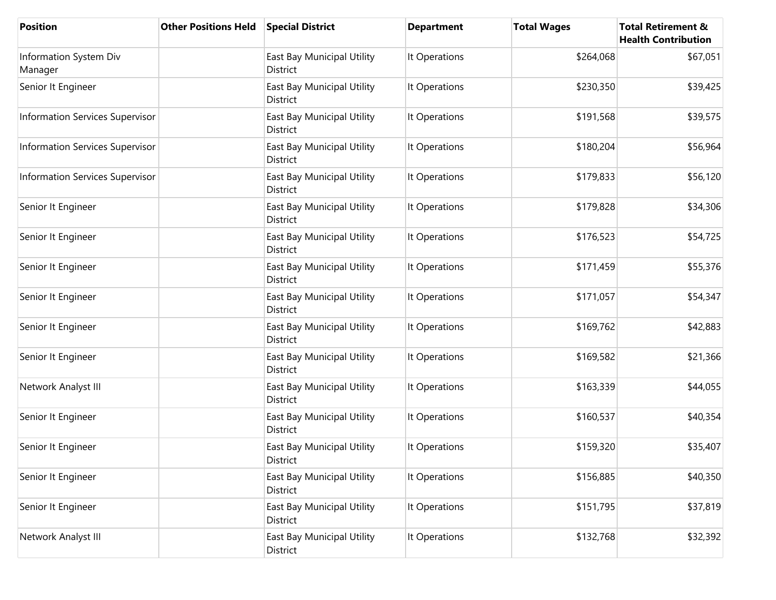| <b>Position</b>                        | <b>Other Positions Held</b> | <b>Special District</b>                | <b>Department</b> | <b>Total Wages</b> | <b>Total Retirement &amp;</b><br><b>Health Contribution</b> |
|----------------------------------------|-----------------------------|----------------------------------------|-------------------|--------------------|-------------------------------------------------------------|
| Information System Div<br>Manager      |                             | East Bay Municipal Utility<br>District | It Operations     | \$264,068          | \$67,051                                                    |
| Senior It Engineer                     |                             | East Bay Municipal Utility<br>District | It Operations     | \$230,350          | \$39,425                                                    |
| <b>Information Services Supervisor</b> |                             | East Bay Municipal Utility<br>District | It Operations     | \$191,568          | \$39,575                                                    |
| <b>Information Services Supervisor</b> |                             | East Bay Municipal Utility<br>District | It Operations     | \$180,204          | \$56,964                                                    |
| <b>Information Services Supervisor</b> |                             | East Bay Municipal Utility<br>District | It Operations     | \$179,833          | \$56,120                                                    |
| Senior It Engineer                     |                             | East Bay Municipal Utility<br>District | It Operations     | \$179,828          | \$34,306                                                    |
| Senior It Engineer                     |                             | East Bay Municipal Utility<br>District | It Operations     | \$176,523          | \$54,725                                                    |
| Senior It Engineer                     |                             | East Bay Municipal Utility<br>District | It Operations     | \$171,459          | \$55,376                                                    |
| Senior It Engineer                     |                             | East Bay Municipal Utility<br>District | It Operations     | \$171,057          | \$54,347                                                    |
| Senior It Engineer                     |                             | East Bay Municipal Utility<br>District | It Operations     | \$169,762          | \$42,883                                                    |
| Senior It Engineer                     |                             | East Bay Municipal Utility<br>District | It Operations     | \$169,582          | \$21,366                                                    |
| Network Analyst III                    |                             | East Bay Municipal Utility<br>District | It Operations     | \$163,339          | \$44,055                                                    |
| Senior It Engineer                     |                             | East Bay Municipal Utility<br>District | It Operations     | \$160,537          | \$40,354                                                    |
| Senior It Engineer                     |                             | East Bay Municipal Utility<br>District | It Operations     | \$159,320          | \$35,407                                                    |
| Senior It Engineer                     |                             | East Bay Municipal Utility<br>District | It Operations     | \$156,885          | \$40,350                                                    |
| Senior It Engineer                     |                             | East Bay Municipal Utility<br>District | It Operations     | \$151,795          | \$37,819                                                    |
| Network Analyst III                    |                             | East Bay Municipal Utility<br>District | It Operations     | \$132,768          | \$32,392                                                    |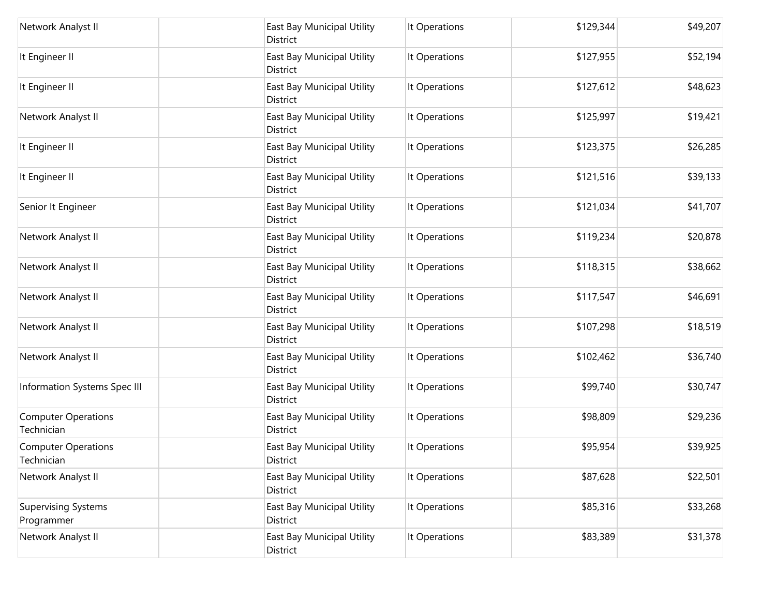| Network Analyst II                       | East Bay Municipal Utility<br>District | It Operations | \$129,344 | \$49,207 |
|------------------------------------------|----------------------------------------|---------------|-----------|----------|
| It Engineer II                           | East Bay Municipal Utility<br>District | It Operations | \$127,955 | \$52,194 |
| It Engineer II                           | East Bay Municipal Utility<br>District | It Operations | \$127,612 | \$48,623 |
| Network Analyst II                       | East Bay Municipal Utility<br>District | It Operations | \$125,997 | \$19,421 |
| It Engineer II                           | East Bay Municipal Utility<br>District | It Operations | \$123,375 | \$26,285 |
| It Engineer II                           | East Bay Municipal Utility<br>District | It Operations | \$121,516 | \$39,133 |
| Senior It Engineer                       | East Bay Municipal Utility<br>District | It Operations | \$121,034 | \$41,707 |
| Network Analyst II                       | East Bay Municipal Utility<br>District | It Operations | \$119,234 | \$20,878 |
| Network Analyst II                       | East Bay Municipal Utility<br>District | It Operations | \$118,315 | \$38,662 |
| Network Analyst II                       | East Bay Municipal Utility<br>District | It Operations | \$117,547 | \$46,691 |
| Network Analyst II                       | East Bay Municipal Utility<br>District | It Operations | \$107,298 | \$18,519 |
| Network Analyst II                       | East Bay Municipal Utility<br>District | It Operations | \$102,462 | \$36,740 |
| Information Systems Spec III             | East Bay Municipal Utility<br>District | It Operations | \$99,740  | \$30,747 |
| <b>Computer Operations</b><br>Technician | East Bay Municipal Utility<br>District | It Operations | \$98,809  | \$29,236 |
| <b>Computer Operations</b><br>Technician | East Bay Municipal Utility<br>District | It Operations | \$95,954  | \$39,925 |
| Network Analyst II                       | East Bay Municipal Utility<br>District | It Operations | \$87,628  | \$22,501 |
| <b>Supervising Systems</b><br>Programmer | East Bay Municipal Utility<br>District | It Operations | \$85,316  | \$33,268 |
| Network Analyst II                       | East Bay Municipal Utility<br>District | It Operations | \$83,389  | \$31,378 |